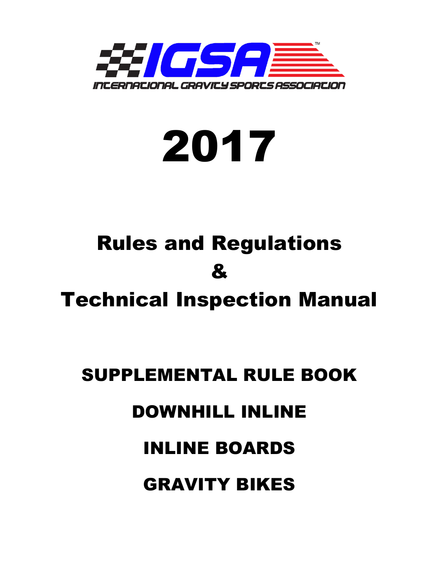



# Rules and Regulations &

Technical Inspection Manual

## SUPPLEMENTAL RULE BOOK

### DOWNHILL INLINE

### INLINE BOARDS

GRAVITY BIKES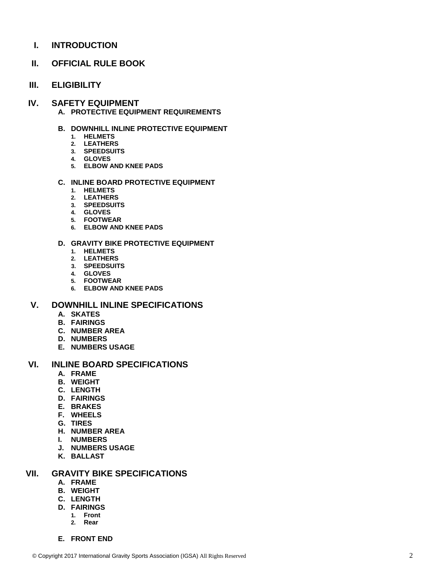**I. INTRODUCTION**

#### **II. OFFICIAL RULE BOOK**

**III. ELIGIBILITY**

#### **IV. SAFETY EQUIPMENT**

- **A. PROTECTIVE EQUIPMENT REQUIREMENTS**
- **B. DOWNHILL INLINE PROTECTIVE EQUIPMENT**
	- **1. HELMETS**
	- **2. LEATHERS**
	- **3. SPEEDSUITS**
	- **4. GLOVES**
	- **5. ELBOW AND KNEE PADS**

#### **C. INLINE BOARD PROTECTIVE EQUIPMENT**

- **1. HELMETS**
- **2. LEATHERS**
- **3. SPEEDSUITS**
- **4. GLOVES**
- **5. FOOTWEAR**
- **6. ELBOW AND KNEE PADS**

#### **D. GRAVITY BIKE PROTECTIVE EQUIPMENT**

- **1. HELMETS**
- **2. LEATHERS**
- **3. SPEEDSUITS**
- **4. GLOVES**
- **5. FOOTWEAR**
- **6. ELBOW AND KNEE PADS**

#### **V. DOWNHILL INLINE SPECIFICATIONS**

- **A. SKATES**
- **B. FAIRINGS**
- **C. NUMBER AREA**
- **D. NUMBERS**
- **E. NUMBERS USAGE**

#### **VI. INLINE BOARD SPECIFICATIONS**

- **A. FRAME**
- **B. WEIGHT**
- **C. LENGTH**
- **D. FAIRINGS**
- **E. BRAKES**
- **F. WHEELS**
- **G. TIRES**
- **H. NUMBER AREA**
- **I. NUMBERS**
- **J. NUMBERS USAGE**
- **K. BALLAST**

#### **VII. GRAVITY BIKE SPECIFICATIONS**

- **A. FRAME**
- **B. WEIGHT**
- **C. LENGTH**
- **D. FAIRINGS**
	- **1. Front 2. Rear**
	-
- **E. FRONT END**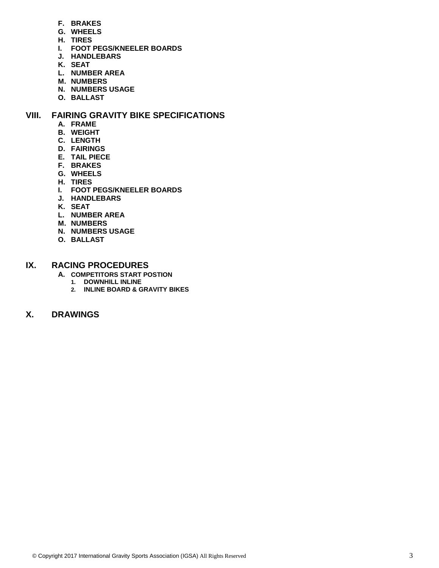- **F. BRAKES**
- **G. WHEELS**
- **H. TIRES**
- **I. FOOT PEGS/KNEELER BOARDS**
- **J. HANDLEBARS**
- **K. SEAT**
- **L. NUMBER AREA**
- **M. NUMBERS**
- **N. NUMBERS USAGE**
- **O. BALLAST**

#### **VIII. FAIRING GRAVITY BIKE SPECIFICATIONS**

- **A. FRAME**
- **B. WEIGHT**
- **C. LENGTH**
- **D. FAIRINGS**
- **E. TAIL PIECE**
- **F. BRAKES**
- **G. WHEELS**
- **H. TIRES**
- **I. FOOT PEGS/KNEELER BOARDS**
- **J. HANDLEBARS**
- **K. SEAT**
- **L. NUMBER AREA**
- **M. NUMBERS**
- **N. NUMBERS USAGE**
- **O. BALLAST**

#### **IX. RACING PROCEDURES**

- **A. COMPETITORS START POSTION**
	- **1. DOWNHILL INLINE**
	- **2. INLINE BOARD & GRAVITY BIKES**

#### **X. DRAWINGS**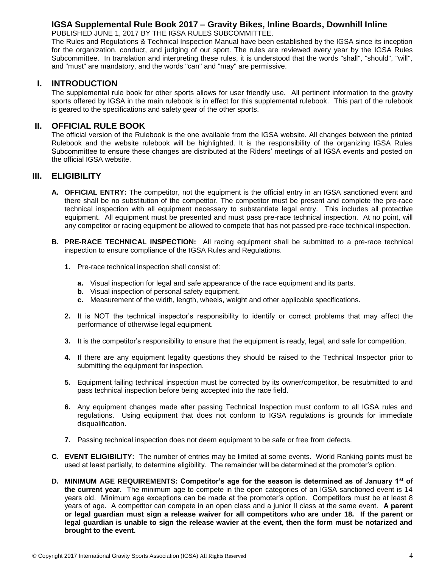#### **IGSA Supplemental Rule Book 2017 – Gravity Bikes, Inline Boards, Downhill Inline**

PUBLISHED JUNE 1, 2017 BY THE IGSA RULES SUBCOMMITTEE.

The Rules and Regulations & Technical Inspection Manual have been established by the IGSA since its inception for the organization, conduct, and judging of our sport. The rules are reviewed every year by the IGSA Rules Subcommittee. In translation and interpreting these rules, it is understood that the words "shall", "should", "will", and "must" are mandatory, and the words "can" and "may" are permissive.

#### **I. INTRODUCTION**

The supplemental rule book for other sports allows for user friendly use. All pertinent information to the gravity sports offered by IGSA in the main rulebook is in effect for this supplemental rulebook. This part of the rulebook is geared to the specifications and safety gear of the other sports.

#### **II. OFFICIAL RULE BOOK**

The official version of the Rulebook is the one available from the IGSA website. All changes between the printed Rulebook and the website rulebook will be highlighted. It is the responsibility of the organizing IGSA Rules Subcommittee to ensure these changes are distributed at the Riders' meetings of all IGSA events and posted on the official IGSA website.

#### **III. ELIGIBILITY**

- **A. OFFICIAL ENTRY:** The competitor, not the equipment is the official entry in an IGSA sanctioned event and there shall be no substitution of the competitor. The competitor must be present and complete the pre-race technical inspection with all equipment necessary to substantiate legal entry. This includes all protective equipment. All equipment must be presented and must pass pre-race technical inspection. At no point, will any competitor or racing equipment be allowed to compete that has not passed pre-race technical inspection.
- **B. PRE-RACE TECHNICAL INSPECTION:** All racing equipment shall be submitted to a pre-race technical inspection to ensure compliance of the IGSA Rules and Regulations.
	- **1.** Pre-race technical inspection shall consist of:
		- **a.** Visual inspection for legal and safe appearance of the race equipment and its parts.
		- **b.** Visual inspection of personal safety equipment.
		- **c.** Measurement of the width, length, wheels, weight and other applicable specifications.
	- **2.** It is NOT the technical inspector's responsibility to identify or correct problems that may affect the performance of otherwise legal equipment.
	- **3.** It is the competitor's responsibility to ensure that the equipment is ready, legal, and safe for competition.
	- **4.** If there are any equipment legality questions they should be raised to the Technical Inspector prior to submitting the equipment for inspection.
	- **5.** Equipment failing technical inspection must be corrected by its owner/competitor, be resubmitted to and pass technical inspection before being accepted into the race field.
	- **6.** Any equipment changes made after passing Technical Inspection must conform to all IGSA rules and regulations. Using equipment that does not conform to IGSA regulations is grounds for immediate disqualification.
	- **7.** Passing technical inspection does not deem equipment to be safe or free from defects.
- **C. EVENT ELIGIBILITY:** The number of entries may be limited at some events. World Ranking points must be used at least partially, to determine eligibility. The remainder will be determined at the promoter's option.
- **D. MINIMUM AGE REQUIREMENTS: Competitor's age for the season is determined as of January 1st of the current year.** The minimum age to compete in the open categories of an IGSA sanctioned event is 14 years old. Minimum age exceptions can be made at the promoter's option. Competitors must be at least 8 years of age. A competitor can compete in an open class and a junior II class at the same event. **A parent or legal guardian must sign a release waiver for all competitors who are under 18. If the parent or legal guardian is unable to sign the release wavier at the event, then the form must be notarized and brought to the event.**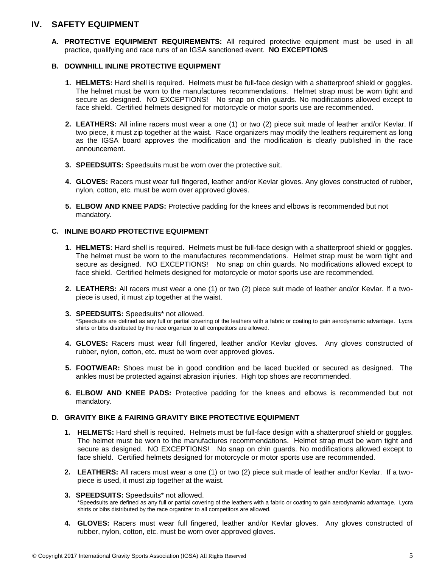#### **IV. SAFETY EQUIPMENT**

**A. PROTECTIVE EQUIPMENT REQUIREMENTS:** All required protective equipment must be used in all practice, qualifying and race runs of an IGSA sanctioned event. **NO EXCEPTIONS**

#### **B. DOWNHILL INLINE PROTECTIVE EQUIPMENT**

- **1. HELMETS:** Hard shell is required. Helmets must be full-face design with a shatterproof shield or goggles. The helmet must be worn to the manufactures recommendations. Helmet strap must be worn tight and secure as designed. NO EXCEPTIONS! No snap on chin guards. No modifications allowed except to face shield. Certified helmets designed for motorcycle or motor sports use are recommended.
- **2. LEATHERS:** All inline racers must wear a one (1) or two (2) piece suit made of leather and/or Kevlar. If two piece, it must zip together at the waist. Race organizers may modify the leathers requirement as long as the IGSA board approves the modification and the modification is clearly published in the race announcement.
- **3. SPEEDSUITS:** Speedsuits must be worn over the protective suit.
- **4. GLOVES:** Racers must wear full fingered, leather and/or Kevlar gloves. Any gloves constructed of rubber, nylon, cotton, etc. must be worn over approved gloves.
- **5. ELBOW AND KNEE PADS:** Protective padding for the knees and elbows is recommended but not mandatory.

#### **C. INLINE BOARD PROTECTIVE EQUIPMENT**

- **1. HELMETS:** Hard shell is required. Helmets must be full-face design with a shatterproof shield or goggles. The helmet must be worn to the manufactures recommendations. Helmet strap must be worn tight and secure as designed. NO EXCEPTIONS! No snap on chin guards. No modifications allowed except to face shield. Certified helmets designed for motorcycle or motor sports use are recommended.
- **2. LEATHERS:** All racers must wear a one (1) or two (2) piece suit made of leather and/or Kevlar. If a twopiece is used, it must zip together at the waist.
- **3. SPEEDSUITS:** Speedsuits\* not allowed.

\*Speedsuits are defined as any full or partial covering of the leathers with a fabric or coating to gain aerodynamic advantage. Lycra shirts or bibs distributed by the race organizer to all competitors are allowed.

- **4. GLOVES:** Racers must wear full fingered, leather and/or Kevlar gloves. Any gloves constructed of rubber, nylon, cotton, etc. must be worn over approved gloves.
- **5. FOOTWEAR:** Shoes must be in good condition and be laced buckled or secured as designed. The ankles must be protected against abrasion injuries. High top shoes are recommended.
- **6. ELBOW AND KNEE PADS:** Protective padding for the knees and elbows is recommended but not mandatory.

#### **D. GRAVITY BIKE & FAIRING GRAVITY BIKE PROTECTIVE EQUIPMENT**

- **1. HELMETS:** Hard shell is required. Helmets must be full-face design with a shatterproof shield or goggles. The helmet must be worn to the manufactures recommendations. Helmet strap must be worn tight and secure as designed. NO EXCEPTIONS! No snap on chin guards. No modifications allowed except to face shield. Certified helmets designed for motorcycle or motor sports use are recommended.
- **2. LEATHERS:** All racers must wear a one (1) or two (2) piece suit made of leather and/or Kevlar. If a twopiece is used, it must zip together at the waist.
- **3. SPEEDSUITS:** Speedsuits\* not allowed. \*Speedsuits are defined as any full or partial covering of the leathers with a fabric or coating to gain aerodynamic advantage. Lycra shirts or bibs distributed by the race organizer to all competitors are allowed.
- **4. GLOVES:** Racers must wear full fingered, leather and/or Kevlar gloves. Any gloves constructed of rubber, nylon, cotton, etc. must be worn over approved gloves.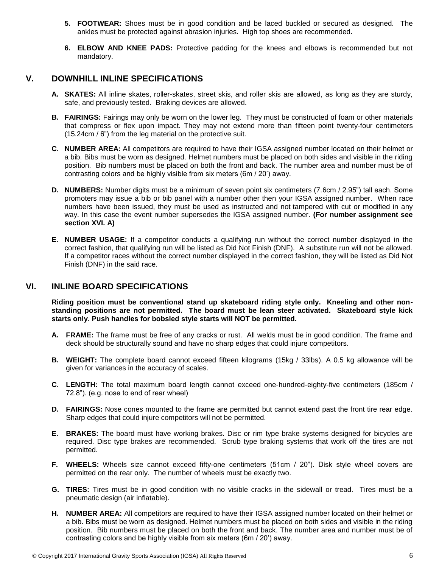- **5. FOOTWEAR:** Shoes must be in good condition and be laced buckled or secured as designed. The ankles must be protected against abrasion injuries. High top shoes are recommended.
- **6. ELBOW AND KNEE PADS:** Protective padding for the knees and elbows is recommended but not mandatory.

#### **V. DOWNHILL INLINE SPECIFICATIONS**

- **A. SKATES:** All inline skates, roller-skates, street skis, and roller skis are allowed, as long as they are sturdy, safe, and previously tested. Braking devices are allowed.
- **B. FAIRINGS:** Fairings may only be worn on the lower leg. They must be constructed of foam or other materials that compress or flex upon impact. They may not extend more than fifteen point twenty-four centimeters (15.24cm / 6") from the leg material on the protective suit.
- **C. NUMBER AREA:** All competitors are required to have their IGSA assigned number located on their helmet or a bib. Bibs must be worn as designed. Helmet numbers must be placed on both sides and visible in the riding position. Bib numbers must be placed on both the front and back. The number area and number must be of contrasting colors and be highly visible from six meters (6m / 20') away.
- **D. NUMBERS:** Number digits must be a minimum of seven point six centimeters (7.6cm / 2.95") tall each. Some promoters may issue a bib or bib panel with a number other then your IGSA assigned number. When race numbers have been issued, they must be used as instructed and not tampered with cut or modified in any way. In this case the event number supersedes the IGSA assigned number. **(For number assignment see section XVI. A)**
- **E. NUMBER USAGE:** If a competitor conducts a qualifying run without the correct number displayed in the correct fashion, that qualifying run will be listed as Did Not Finish (DNF). A substitute run will not be allowed. If a competitor races without the correct number displayed in the correct fashion, they will be listed as Did Not Finish (DNF) in the said race.

#### **VI. INLINE BOARD SPECIFICATIONS**

**Riding position must be conventional stand up skateboard riding style only. Kneeling and other nonstanding positions are not permitted. The board must be lean steer activated. Skateboard style kick starts only. Push handles for bobsled style starts will NOT be permitted.**

- **A. FRAME:** The frame must be free of any cracks or rust. All welds must be in good condition. The frame and deck should be structurally sound and have no sharp edges that could injure competitors.
- **B. WEIGHT:** The complete board cannot exceed fifteen kilograms (15kg / 33lbs). A 0.5 kg allowance will be given for variances in the accuracy of scales.
- **C. LENGTH:** The total maximum board length cannot exceed one-hundred-eighty-five centimeters (185cm / 72.8"). (e.g. nose to end of rear wheel)
- **D. FAIRINGS:** Nose cones mounted to the frame are permitted but cannot extend past the front tire rear edge. Sharp edges that could injure competitors will not be permitted.
- **E. BRAKES:** The board must have working brakes. Disc or rim type brake systems designed for bicycles are required. Disc type brakes are recommended. Scrub type braking systems that work off the tires are not permitted.
- **F. WHEELS:** Wheels size cannot exceed fifty-one centimeters (51cm / 20"). Disk style wheel covers are permitted on the rear only. The number of wheels must be exactly two.
- **G. TIRES:** Tires must be in good condition with no visible cracks in the sidewall or tread. Tires must be a pneumatic design (air inflatable).
- **H. NUMBER AREA:** All competitors are required to have their IGSA assigned number located on their helmet or a bib. Bibs must be worn as designed. Helmet numbers must be placed on both sides and visible in the riding position. Bib numbers must be placed on both the front and back. The number area and number must be of contrasting colors and be highly visible from six meters (6m / 20') away.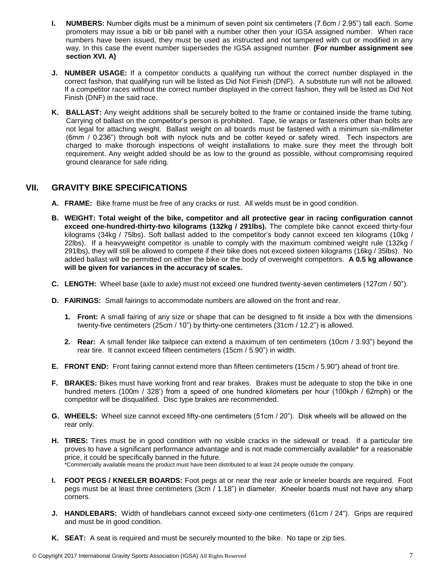- **I. NUMBERS:** Number digits must be a minimum of seven point six centimeters (7.6cm / 2.95") tall each. Some promoters may issue a bib or bib panel with a number other then your IGSA assigned number. When race numbers have been issued, they must be used as instructed and not tampered with cut or modified in any way. In this case the event number supersedes the IGSA assigned number. **(For number assignment see section XVI. A)**
- **J. NUMBER USAGE:** If a competitor conducts a qualifying run without the correct number displayed in the correct fashion, that qualifying run will be listed as Did Not Finish (DNF). A substitute run will not be allowed. If a competitor races without the correct number displayed in the correct fashion, they will be listed as Did Not Finish (DNF) in the said race.
- **K. BALLAST:** Any weight additions shall be securely bolted to the frame or contained inside the frame tubing. Carrying of ballast on the competitor's person is prohibited. Tape, tie wraps or fasteners other than bolts are not legal for attaching weight. Ballast weight on all boards must be fastened with a minimum six-millimeter (6mm / 0.236") through bolt with nylock nuts and be cotter keyed or safety wired. Tech inspectors are charged to make thorough inspections of weight installations to make sure they meet the through bolt requirement. Any weight added should be as low to the ground as possible, without compromising required ground clearance for safe riding.

#### **VII. GRAVITY BIKE SPECIFICATIONS**

- **A. FRAME:** Bike frame must be free of any cracks or rust. All welds must be in good condition.
- **B. WEIGHT: Total weight of the bike, competitor and all protective gear in racing configuration cannot exceed one-hundred-thirty-two kilograms (132kg / 291lbs).** The complete bike cannot exceed thirty-four kilograms (34kg / 75lbs). Soft ballast added to the competitor's body cannot exceed ten kilograms (10kg / 22lbs). If a heavyweight competitor is unable to comply with the maximum combined weight rule (132kg / 291lbs), they will still be allowed to compete if their bike does not exceed sixteen kilograms (16kg / 35lbs). No added ballast will be permitted on either the bike or the body of overweight competitors. **A 0.5 kg allowance will be given for variances in the accuracy of scales.**
- **C. LENGTH:** Wheel base (axle to axle) must not exceed one hundred twenty-seven centimeters (127cm / 50").
- **D. FAIRINGS:** Small fairings to accommodate numbers are allowed on the front and rear.
	- **1. Front:** A small fairing of any size or shape that can be designed to fit inside a box with the dimensions twenty-five centimeters (25cm / 10") by thirty-one centimeters (31cm / 12.2") is allowed.
	- **2. Rear:** A small fender like tailpiece can extend a maximum of ten centimeters (10cm / 3.93") beyond the rear tire. It cannot exceed fifteen centimeters (15cm / 5.90") in width.
- **E. FRONT END:** Front fairing cannot extend more than fifteen centimeters (15cm / 5.90") ahead of front tire.
- **F. BRAKES:** Bikes must have working front and rear brakes. Brakes must be adequate to stop the bike in one hundred meters (100m / 328') from a speed of one hundred kilometers per hour (100kph / 62mph) or the competitor will be disqualified. Disc type brakes are recommended.
- **G. WHEELS:** Wheel size cannot exceed fifty-one centimeters (51cm / 20"). Disk wheels will be allowed on the rear only.
- **H. TIRES:** Tires must be in good condition with no visible cracks in the sidewall or tread. If a particular tire proves to have a significant performance advantage and is not made commercially available\* for a reasonable price, it could be specifically banned in the future. \*Commercially available means the product must have been distributed to at least 24 people outside the company.
- **I. FOOT PEGS / KNEELER BOARDS:** Foot pegs at or near the rear axle or kneeler boards are required. Foot pegs must be at least three centimeters (3cm / 1.18") in diameter. Kneeler boards must not have any sharp corners.
- **J. HANDLEBARS:** Width of handlebars cannot exceed sixty-one centimeters (61cm / 24"). Grips are required and must be in good condition.
- **K. SEAT:** A seat is required and must be securely mounted to the bike. No tape or zip ties.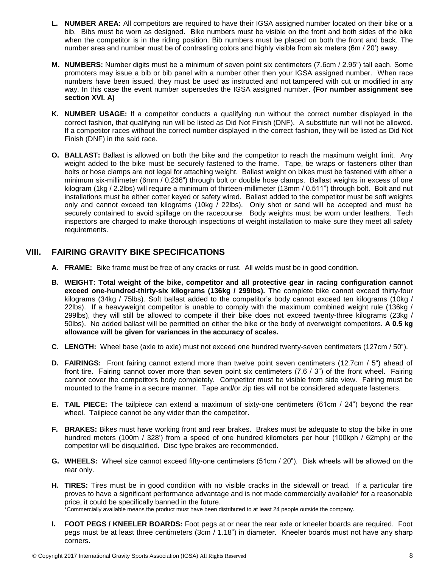- **L. NUMBER AREA:** All competitors are required to have their IGSA assigned number located on their bike or a bib. Bibs must be worn as designed. Bike numbers must be visible on the front and both sides of the bike when the competitor is in the riding position. Bib numbers must be placed on both the front and back. The number area and number must be of contrasting colors and highly visible from six meters (6m / 20') away.
- **M. NUMBERS:** Number digits must be a minimum of seven point six centimeters (7.6cm / 2.95") tall each. Some promoters may issue a bib or bib panel with a number other then your IGSA assigned number. When race numbers have been issued, they must be used as instructed and not tampered with cut or modified in any way. In this case the event number supersedes the IGSA assigned number. **(For number assignment see section XVI. A)**
- **K. NUMBER USAGE:** If a competitor conducts a qualifying run without the correct number displayed in the correct fashion, that qualifying run will be listed as Did Not Finish (DNF). A substitute run will not be allowed. If a competitor races without the correct number displayed in the correct fashion, they will be listed as Did Not Finish (DNF) in the said race.
- **O. BALLAST:** Ballast is allowed on both the bike and the competitor to reach the maximum weight limit. Any weight added to the bike must be securely fastened to the frame. Tape, tie wraps or fasteners other than bolts or hose clamps are not legal for attaching weight. Ballast weight on bikes must be fastened with either a minimum six-millimeter (6mm / 0.236") through bolt or double hose clamps. Ballast weights in excess of one kilogram (1kg / 2.2lbs) will require a minimum of thirteen-millimeter (13mm / 0.511") through bolt. Bolt and nut installations must be either cotter keyed or safety wired. Ballast added to the competitor must be soft weights only and cannot exceed ten kilograms (10kg / 22lbs). Only shot or sand will be accepted and must be securely contained to avoid spillage on the racecourse. Body weights must be worn under leathers. Tech inspectors are charged to make thorough inspections of weight installation to make sure they meet all safety requirements.

#### **VIII. FAIRING GRAVITY BIKE SPECIFICATIONS**

- **A. FRAME:** Bike frame must be free of any cracks or rust. All welds must be in good condition.
- **B. WEIGHT: Total weight of the bike, competitor and all protective gear in racing configuration cannot exceed one-hundred-thirty-six kilograms (136kg / 299lbs).** The complete bike cannot exceed thirty-four kilograms (34kg / 75lbs). Soft ballast added to the competitor's body cannot exceed ten kilograms (10kg / 22lbs). If a heavyweight competitor is unable to comply with the maximum combined weight rule (136kg / 299lbs), they will still be allowed to compete if their bike does not exceed twenty-three kilograms (23kg / 50lbs). No added ballast will be permitted on either the bike or the body of overweight competitors. **A 0.5 kg allowance will be given for variances in the accuracy of scales.**
- **C. LENGTH:** Wheel base (axle to axle) must not exceed one hundred twenty-seven centimeters (127cm / 50").
- **D. FAIRINGS:** Front fairing cannot extend more than twelve point seven centimeters (12.7cm / 5") ahead of front tire. Fairing cannot cover more than seven point six centimeters (7.6 / 3") of the front wheel. Fairing cannot cover the competitors body completely. Competitor must be visible from side view. Fairing must be mounted to the frame in a secure manner. Tape and/or zip ties will not be considered adequate fasteners.
- **E. TAIL PIECE:** The tailpiece can extend a maximum of sixty-one centimeters (61cm / 24") beyond the rear wheel. Tailpiece cannot be any wider than the competitor.
- **F. BRAKES:** Bikes must have working front and rear brakes. Brakes must be adequate to stop the bike in one hundred meters (100m / 328') from a speed of one hundred kilometers per hour (100kph / 62mph) or the competitor will be disqualified. Disc type brakes are recommended.
- **G. WHEELS:** Wheel size cannot exceed fifty-one centimeters (51cm / 20"). Disk wheels will be allowed on the rear only.
- **H. TIRES:** Tires must be in good condition with no visible cracks in the sidewall or tread. If a particular tire proves to have a significant performance advantage and is not made commercially available\* for a reasonable price, it could be specifically banned in the future. \*Commercially available means the product must have been distributed to at least 24 people outside the company.

**I. FOOT PEGS / KNEELER BOARDS:** Foot pegs at or near the rear axle or kneeler boards are required. Foot pegs must be at least three centimeters (3cm / 1.18") in diameter. Kneeler boards must not have any sharp corners.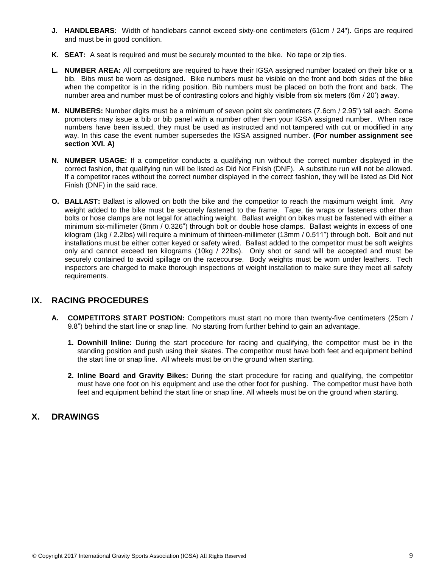- **J. HANDLEBARS:** Width of handlebars cannot exceed sixty-one centimeters (61cm / 24"). Grips are required and must be in good condition.
- **K. SEAT:** A seat is required and must be securely mounted to the bike. No tape or zip ties.
- **L. NUMBER AREA:** All competitors are required to have their IGSA assigned number located on their bike or a bib. Bibs must be worn as designed. Bike numbers must be visible on the front and both sides of the bike when the competitor is in the riding position. Bib numbers must be placed on both the front and back. The number area and number must be of contrasting colors and highly visible from six meters (6m / 20') away.
- **M. NUMBERS:** Number digits must be a minimum of seven point six centimeters (7.6cm / 2.95") tall each. Some promoters may issue a bib or bib panel with a number other then your IGSA assigned number. When race numbers have been issued, they must be used as instructed and not tampered with cut or modified in any way. In this case the event number supersedes the IGSA assigned number. **(For number assignment see section XVI. A)**
- **N. NUMBER USAGE:** If a competitor conducts a qualifying run without the correct number displayed in the correct fashion, that qualifying run will be listed as Did Not Finish (DNF). A substitute run will not be allowed. If a competitor races without the correct number displayed in the correct fashion, they will be listed as Did Not Finish (DNF) in the said race.
- **O. BALLAST:** Ballast is allowed on both the bike and the competitor to reach the maximum weight limit. Any weight added to the bike must be securely fastened to the frame. Tape, tie wraps or fasteners other than bolts or hose clamps are not legal for attaching weight. Ballast weight on bikes must be fastened with either a minimum six-millimeter (6mm / 0.326") through bolt or double hose clamps. Ballast weights in excess of one kilogram (1kg / 2.2lbs) will require a minimum of thirteen-millimeter (13mm / 0.511") through bolt. Bolt and nut installations must be either cotter keyed or safety wired. Ballast added to the competitor must be soft weights only and cannot exceed ten kilograms (10kg / 22lbs). Only shot or sand will be accepted and must be securely contained to avoid spillage on the racecourse. Body weights must be worn under leathers. Tech inspectors are charged to make thorough inspections of weight installation to make sure they meet all safety requirements.

#### **IX. RACING PROCEDURES**

- **A. COMPETITORS START POSTION:** Competitors must start no more than twenty-five centimeters (25cm / 9.8") behind the start line or snap line. No starting from further behind to gain an advantage.
	- **1. Downhill Inline:** During the start procedure for racing and qualifying, the competitor must be in the standing position and push using their skates. The competitor must have both feet and equipment behind the start line or snap line. All wheels must be on the ground when starting.
	- **2. Inline Board and Gravity Bikes:** During the start procedure for racing and qualifying, the competitor must have one foot on his equipment and use the other foot for pushing. The competitor must have both feet and equipment behind the start line or snap line. All wheels must be on the ground when starting.

#### **X. DRAWINGS**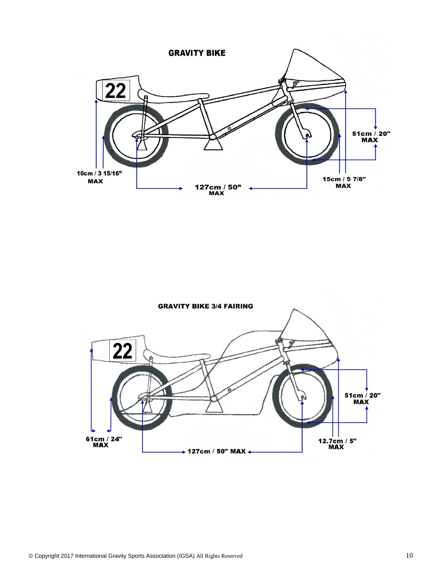